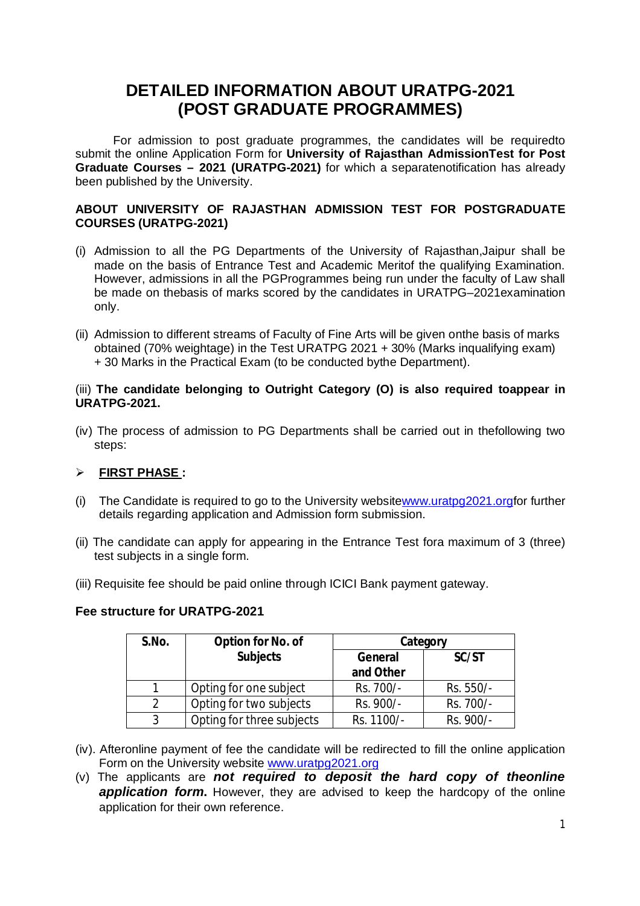# **DETAILED INFORMATION ABOUT URATPG-2021 (POST GRADUATE PROGRAMMES)**

For admission to post graduate programmes, the candidates will be requiredto submit the online Application Form for **University of Rajasthan AdmissionTest for Post Graduate Courses – 2021 (URATPG-2021)** for which a separatenotification has already been published by the University.

## **ABOUT UNIVERSITY OF RAJASTHAN ADMISSION TEST FOR POSTGRADUATE COURSES (URATPG-2021)**

- (i) Admission to all the PG Departments of the University of Rajasthan,Jaipur shall be made on the basis of Entrance Test and Academic Meritof the qualifying Examination. However, admissions in all the PGProgrammes being run under the faculty of Law shall be made on thebasis of marks scored by the candidates in URATPG–2021examination only.
- (ii) Admission to different streams of Faculty of Fine Arts will be given onthe basis of marks obtained (70% weightage) in the Test URATPG 2021 + 30% (Marks inqualifying exam) + 30 Marks in the Practical Exam (to be conducted bythe Department).

#### (iii) **The candidate belonging to Outright Category (O) is also required toappear in URATPG-2021.**

(iv) The process of admission to PG Departments shall be carried out in thefollowing two steps:

# **FIRST PHASE :**

- (i) The Candidate is required to go to the University website[www.uratpg2021.orgfor](http://www.uratpg2021.orgfor) further details regarding application and Admission form submission.
- (ii) The candidate can apply for appearing in the Entrance Test fora maximum of 3 (three) test subjects in a single form.
- (iii) Requisite fee should be paid online through ICICI Bank payment gateway.

#### **Fee structure for URATPG-2021**

| S.No. | Option for No. of         |            | Category  |
|-------|---------------------------|------------|-----------|
|       | <b>Subjects</b>           | General    | SC/ST     |
|       |                           | and Other  |           |
|       | Opting for one subject    | Rs. 700/-  | Rs. 550/- |
| 2     | Opting for two subjects   | Rs. 900/-  | Rs. 700/- |
| 3     | Opting for three subjects | Rs. 1100/- | Rs. 900/- |

- (iv). Afteronline payment of fee the candidate will be redirected to fill the online application Form on the University website [www.uratpg2021.org](http://www.uratpg2021.org)
- (v) The applicants are *not required to deposit the hard copy of theonline*  **application form.** However, they are advised to keep the hardcopy of the online application for their own reference.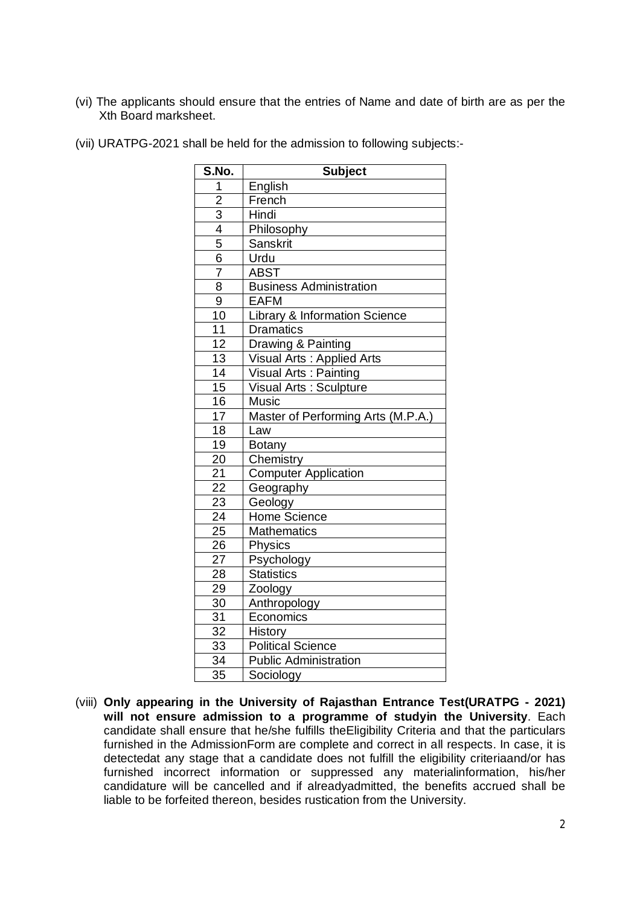(vi) The applicants should ensure that the entries of Name and date of birth are as per the Xth Board marksheet.

| S.No.           | <b>Subject</b>                           |  |
|-----------------|------------------------------------------|--|
| 1               | English                                  |  |
| $\overline{2}$  | French                                   |  |
| $\overline{3}$  | Hindi                                    |  |
| $\overline{4}$  | Philosophy                               |  |
| $\overline{5}$  | <b>Sanskrit</b>                          |  |
| $\overline{6}$  | Urdu                                     |  |
| $\overline{7}$  | ABST                                     |  |
| 8               | <b>Business Administration</b>           |  |
| 9               | <b>EAFM</b>                              |  |
| 10              | <b>Library &amp; Information Science</b> |  |
| 11              | <b>Dramatics</b>                         |  |
| 12              | Drawing & Painting                       |  |
| 13              | Visual Arts : Applied Arts               |  |
| $\overline{14}$ | Visual Arts: Painting                    |  |
| $\overline{15}$ | Visual Arts: Sculpture                   |  |
| 16              | <b>Music</b>                             |  |
| $\overline{17}$ | Master of Performing Arts (M.P.A.)       |  |
| 18              | Law                                      |  |
| 19              | Botany                                   |  |
| 20              | Chemistry                                |  |
| 21              | <b>Computer Application</b>              |  |
| $\overline{22}$ | Geography                                |  |
| $\overline{23}$ | Geology                                  |  |
| $\overline{24}$ | Home Science                             |  |
| 25              | <b>Mathematics</b>                       |  |
| 26              | <b>Physics</b>                           |  |
| 27              | Psychology                               |  |
| 28              | <b>Statistics</b>                        |  |
| 29              | Zoology                                  |  |
| 30              | Anthropology                             |  |
| 31              | Economics                                |  |
| $\overline{32}$ | History                                  |  |
| 33              | <b>Political Science</b>                 |  |
| 34              | <b>Public Administration</b>             |  |
| 35              | Sociology                                |  |

(vii) URATPG-2021 shall be held for the admission to following subjects:-

(viii) **Only appearing in the University of Rajasthan Entrance Test(URATPG - 2021) will not ensure admission to a programme of studyin the University**. Each candidate shall ensure that he/she fulfills theEligibility Criteria and that the particulars furnished in the AdmissionForm are complete and correct in all respects. In case, it is detectedat any stage that a candidate does not fulfill the eligibility criteriaand/or has furnished incorrect information or suppressed any materialinformation, his/her candidature will be cancelled and if alreadyadmitted, the benefits accrued shall be liable to be forfeited thereon, besides rustication from the University.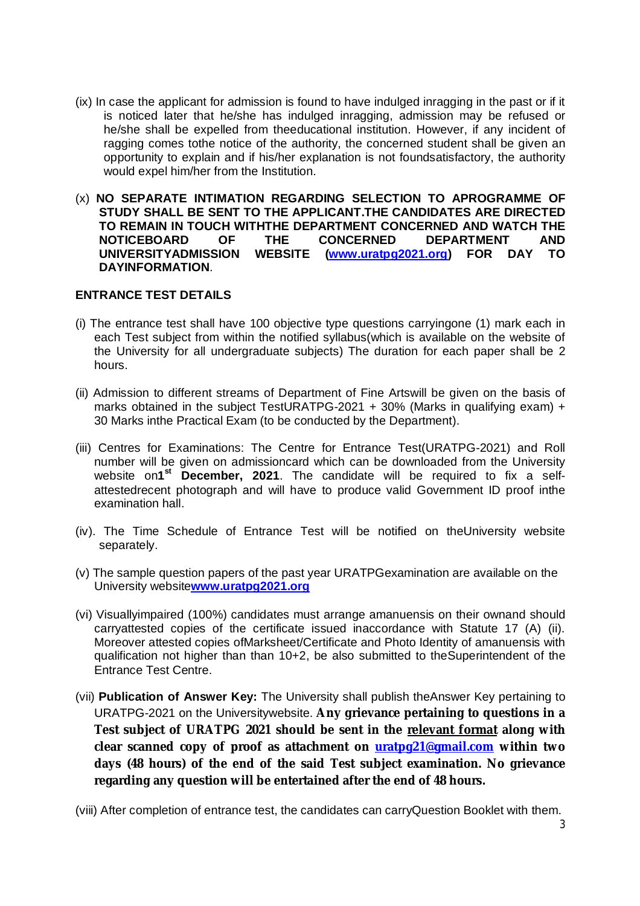- (ix) In case the applicant for admission is found to have indulged inragging in the past or if it is noticed later that he/she has indulged inragging, admission may be refused or he/she shall be expelled from theeducational institution. However, if any incident of ragging comes tothe notice of the authority, the concerned student shall be given an opportunity to explain and if his/her explanation is not foundsatisfactory, the authority would expel him/her from the Institution.
- (x) **NO SEPARATE INTIMATION REGARDING SELECTION TO APROGRAMME OF STUDY SHALL BE SENT TO THE APPLICANT.THE CANDIDATES ARE DIRECTED TO REMAIN IN TOUCH WITHTHE DEPARTMENT CONCERNED AND WATCH THE NOTICEBOARD OF THE CONCERNED DEPARTMENT AND UNIVERSITYADMISSION WEBSITE [\(www.uratpg2021.org\)](http://www.uratpg2021.org)) FOR DAY TO DAYINFORMATION**.

# **ENTRANCE TEST DETAILS**

- (i) The entrance test shall have 100 objective type questions carryingone (1) mark each in each Test subject from within the notified syllabus(which is available on the website of the University for all undergraduate subjects) The duration for each paper shall be 2 hours.
- (ii) Admission to different streams of Department of Fine Artswill be given on the basis of marks obtained in the subject TestURATPG-2021 + 30% (Marks in qualifying exam) + 30 Marks inthe Practical Exam (to be conducted by the Department).
- (iii) Centres for Examinations: The Centre for Entrance Test(URATPG-2021) and Roll number will be given on admissioncard which can be downloaded from the University website on1<sup>st</sup> December, 2021. The candidate will be required to fix a selfattestedrecent photograph and will have to produce valid Government ID proof inthe examination hall.
- (iv). The Time Schedule of Entrance Test will be notified on theUniversity website separately.
- (v) The sample question papers of the past year URATPGexamination are available on the University website**[www.uratpg2021.org](http://www.uratpg2021.org)**
- (vi) Visuallyimpaired (100%) candidates must arrange amanuensis on their ownand should carryattested copies of the certificate issued inaccordance with Statute 17 (A) (ii). Moreover attested copies ofMarksheet/Certificate and Photo Identity of amanuensis with qualification not higher than than 10+2, be also submitted to theSuperintendent of the Entrance Test Centre.
- (vii) **Publication of Answer Key:** The University shall publish theAnswer Key pertaining to URATPG-2021 on the Universitywebsite. **Any grievance pertaining to questions in a Test subject of URATPG 2021 should be sent in the relevant format along with clear scanned copy of proof as attachment on [uratpg21@gmail.com](mailto:uratpg21@gmail.com) within two days (48 hours) of the end of the said Test subject examination. No grievance regarding any question will be entertained after the end of 48 hours.**

(viii) After completion of entrance test, the candidates can carryQuestion Booklet with them.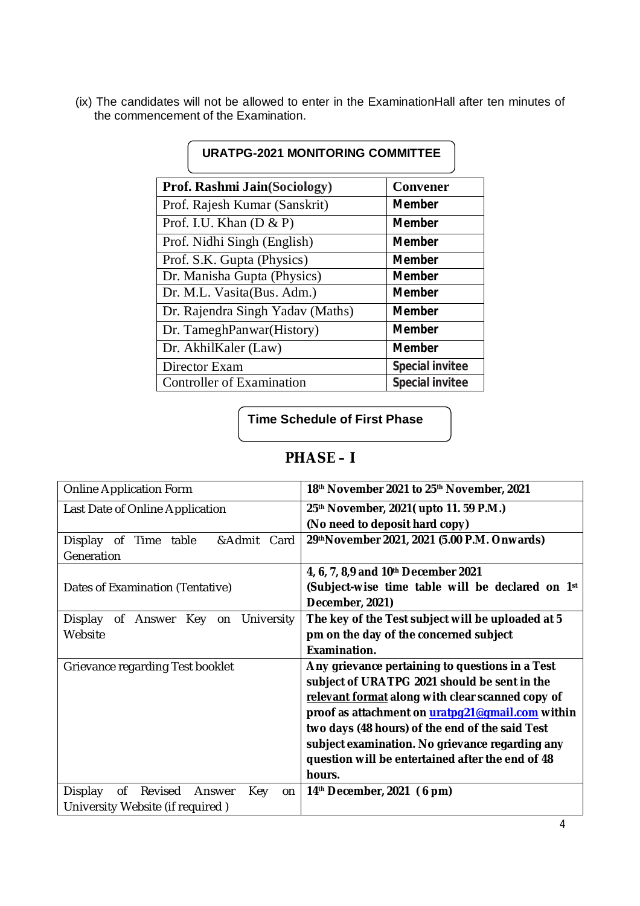(ix) The candidates will not be allowed to enter in the ExaminationHall after ten minutes of the commencement of the Examination.

| <b>URATPG-2021 MONITORING COMMITTEE</b> |                        |  |
|-----------------------------------------|------------------------|--|
| <b>Prof. Rashmi Jain(Sociology)</b>     | <b>Convener</b>        |  |
| Prof. Rajesh Kumar (Sanskrit)           | <b>Member</b>          |  |
| Prof. I.U. Khan $(D & P)$               | <b>Member</b>          |  |
| Prof. Nidhi Singh (English)             | <b>Member</b>          |  |
| Prof. S.K. Gupta (Physics)              | <b>Member</b>          |  |
| Dr. Manisha Gupta (Physics)             | <b>Member</b>          |  |
| Dr. M.L. Vasita (Bus. Adm.)             | <b>Member</b>          |  |
| Dr. Rajendra Singh Yadav (Maths)        | <b>Member</b>          |  |
| Dr. TameghPanwar(History)               | <b>Member</b>          |  |
| Dr. AkhilKaler (Law)                    | <b>Member</b>          |  |
| Director Exam                           | <b>Special invitee</b> |  |
| <b>Controller of Examination</b>        | <b>Special invitee</b> |  |

**Time Schedule of First Phase**

# **PHASE – I**

| Online Application Form                         | 18th November 2021 to 25th November, 2021         |
|-------------------------------------------------|---------------------------------------------------|
| Last Date of Online Application                 | 25th November, 2021 (upto 11. 59 P.M.)            |
|                                                 | (No need to deposit hard copy)                    |
| &Admit Card<br>Display of<br>Time table         | 29thNovember 2021, 2021 (5.00 P.M. Onwards)       |
| Generation                                      |                                                   |
|                                                 | 4, 6, 7, 8,9 and 10th December 2021               |
| Dates of Examination (Tentative)                | (Subject-wise time table will be declared on 1st  |
|                                                 | December, 2021)                                   |
| on University<br>Display of Answer Key          | The key of the Test subject will be uploaded at 5 |
| Website                                         | pm on the day of the concerned subject            |
|                                                 | Examination.                                      |
| Grievance regarding Test booklet                | Any grievance pertaining to questions in a Test   |
|                                                 | subject of URATPG 2021 should be sent in the      |
|                                                 | relevant format along with clear scanned copy of  |
|                                                 | proof as attachment on uratpg21@gmail.com within  |
|                                                 | two days (48 hours) of the end of the said Test   |
|                                                 | subject examination. No grievance regarding any   |
|                                                 | question will be entertained after the end of 48  |
|                                                 | hours.                                            |
| 0f<br>Revised<br>Display<br>Key<br>Answer<br>on | $14th$ December, 2021 (6 pm)                      |
| University Website (if required)                |                                                   |